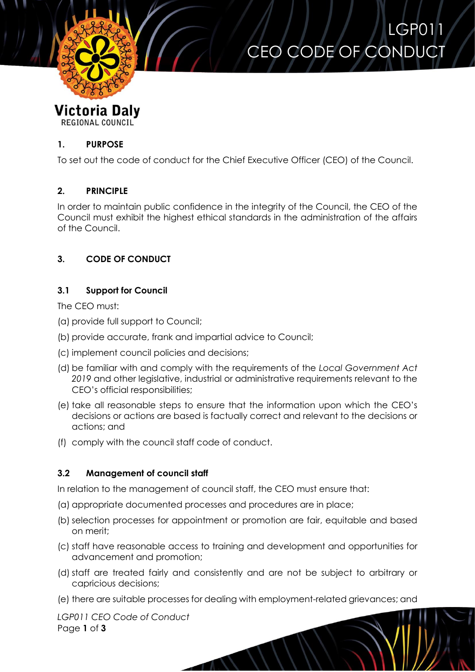

# LGP011 CEO CODE OF CONDUCT

#### **Victoria Daly** REGIONAL COUNCIL

#### **1. PURPOSE**

To set out the code of conduct for the Chief Executive Officer (CEO) of the Council.

# **2. PRINCIPLE**

In order to maintain public confidence in the integrity of the Council, the CEO of the Council must exhibit the highest ethical standards in the administration of the affairs of the Council.

# **3. CODE OF CONDUCT**

# **3.1 Support for Council**

The CEO must:

- (a) provide full support to Council;
- (b) provide accurate, frank and impartial advice to Council;
- (c) implement council policies and decisions;
- (d) be familiar with and comply with the requirements of the *Local Government Act 2019* and other legislative, industrial or administrative requirements relevant to the CEO's official responsibilities;
- (e) take all reasonable steps to ensure that the information upon which the CEO's decisions or actions are based is factually correct and relevant to the decisions or actions; and
- (f) comply with the council staff code of conduct.

#### **3.2 Management of council staff**

In relation to the management of council staff, the CEO must ensure that:

- (a) appropriate documented processes and procedures are in place;
- (b) selection processes for appointment or promotion are fair, equitable and based on merit;
- (c) staff have reasonable access to training and development and opportunities for advancement and promotion;
- (d) staff are treated fairly and consistently and are not be subject to arbitrary or capricious decisions;
- (e) there are suitable processes for dealing with employment-related grievances; and

*LGP011 CEO Code of Conduct* Page **1** of **3**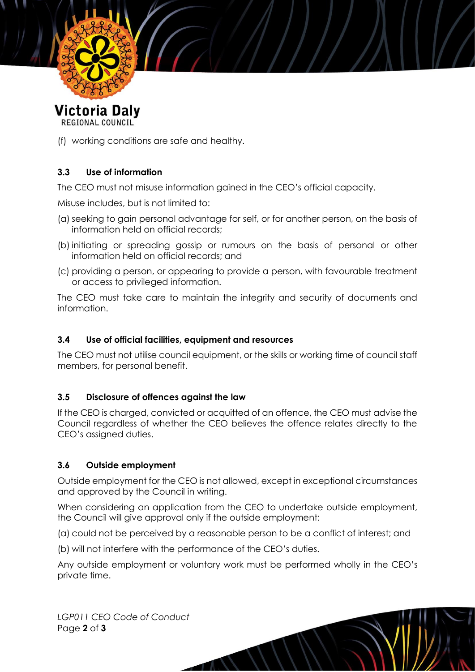

Victoria Daly REGIONAL COUNCIL

(f) working conditions are safe and healthy.

# **3.3 Use of information**

The CEO must not misuse information gained in the CEO's official capacity.

Misuse includes, but is not limited to:

- (a) seeking to gain personal advantage for self, or for another person, on the basis of information held on official records;
- (b) initiating or spreading gossip or rumours on the basis of personal or other information held on official records; and
- (c) providing a person, or appearing to provide a person, with favourable treatment or access to privileged information.

The CEO must take care to maintain the integrity and security of documents and information.

#### **3.4 Use of official facilities, equipment and resources**

The CEO must not utilise council equipment, or the skills or working time of council staff members, for personal benefit.

#### **3.5 Disclosure of offences against the law**

If the CEO is charged, convicted or acquitted of an offence, the CEO must advise the Council regardless of whether the CEO believes the offence relates directly to the CEO's assigned duties.

#### **3.6 Outside employment**

Outside employment for the CEO is not allowed, except in exceptional circumstances and approved by the Council in writing.

When considering an application from the CEO to undertake outside employment, the Council will give approval only if the outside employment:

(a) could not be perceived by a reasonable person to be a conflict of interest; and

(b) will not interfere with the performance of the CEO's duties.

Any outside employment or voluntary work must be performed wholly in the CEO's private time.

*LGP011 CEO Code of Conduct* Page **2** of **3**